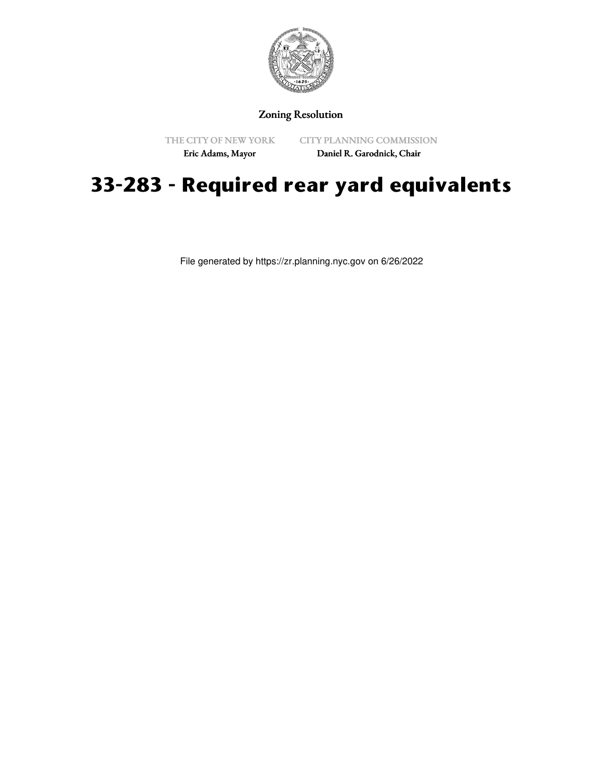

Zoning Resolution

THE CITY OF NEW YORK

CITY PLANNING COMMISSION

Eric Adams, Mayor

Daniel R. Garodnick, Chair

## **33-283 - Required rear yard equivalents**

File generated by https://zr.planning.nyc.gov on 6/26/2022